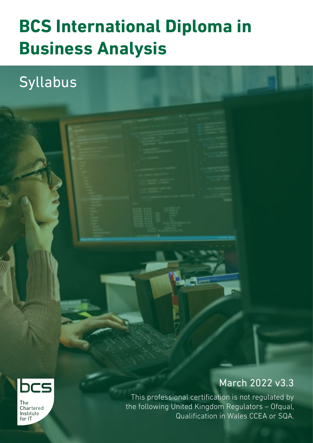## **BCS International Diploma in Business Analysis**

Syllabus



This professional certification is not regulated by the following United Kingdom Regulators – Ofqual, Qualification in Wales CCEA or SQA.



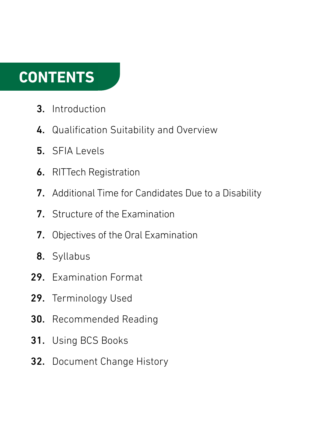## **CONTENTS**

- Introduction 3.
- 4. Qualification Suitability and Overview
- 5. SFIA Levels
- RITTech Registration 6.
- Additional Time for Candidates Due to a Disability 7.
- 7. Structure of the Examination
- Objectives of the Oral Examination 7.
- 8. Syllabus
- 29. Examination Format
- 29. Terminology Used
- Recommended Reading 30.
- Using BCS Books 31.
- 32. Document Change History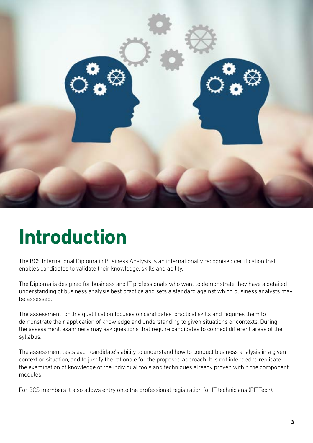

## **Introduction**

The BCS International Diploma in Business Analysis is an internationally recognised certification that enables candidates to validate their knowledge, skills and ability.

The Diploma is designed for business and IT professionals who want to demonstrate they have a detailed understanding of business analysis best practice and sets a standard against which business analysts may be assessed.

The assessment for this qualification focuses on candidates' practical skills and requires them to demonstrate their application of knowledge and understanding to given situations or contexts. During the assessment, examiners may ask questions that require candidates to connect different areas of the syllabus.

The assessment tests each candidate's ability to understand how to conduct business analysis in a given context or situation, and to justify the rationale for the proposed approach. It is not intended to replicate the examination of knowledge of the individual tools and techniques already proven within the component modules.

For BCS members it also allows entry onto the professional registration for IT technicians (RITTech).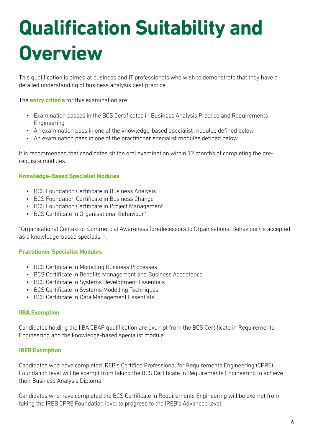# **Qualification Suitability and Overview**

This qualification is aimed at business and IT professionals who wish to demonstrate that they have a detailed understanding of business analysis best practice.

The **entry criteria** for this examination are:

- Examination passes in the BCS Certificates in Business Analysis Practice and Requirements Engineering
- An examination pass in one of the knowledge-based specialist modules defined below
- An examination pass in one of the practitioner specialist modules defined below

It is recommended that candidates sit the oral examination within 12 months of completing the prerequisite modules.

#### **Knowledge-Based Specialist Modules**

- BCS Foundation Certificate in Business Analysis
- BCS Foundation Certificate in Business Change
- BCS Foundation Certificate in Project Management
- BCS Certificate in Organisational Behaviour\*

\*Organisational Context or Commercial Awareness (predecessors to Organisational Behaviour) is accepted as a knowledge-based specialism.

#### **Practitioner Specialist Modules**

- BCS Certificate in Modelling Business Processes
- BCS Certificate in Benefits Management and Business Acceptance
- BCS Certificate in Systems Development Essentials
- BCS Certificate in Systems Modelling Techniques
- BCS Certificate in Data Management Essentials

#### **IIBA Exemption**

Candidates holding the IIBA CBAP qualification are exempt from the BCS Certificate in Requirements Engineering and the knowledge-based specialist module.

#### **IREB Exemption**

Candidates who have completed IREB's Certified Professional for Requirements Engineering (CPRE) Foundation level will be exempt from taking the BCS Certificate in Requirements Engineering to achieve their Business Analysis Diploma.

Candidates who have completed the BCS Certificate in Requirements Engineering will be exempt from taking the IREB CPRE Foundation level to progress to the IREB's Advanced level.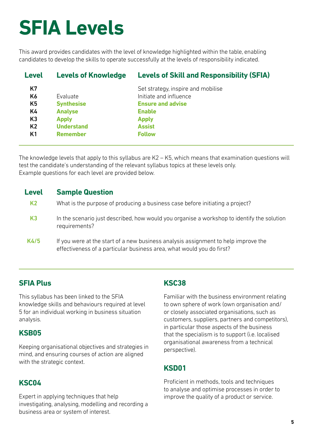## **SFIA Levels**

This award provides candidates with the level of knowledge highlighted within the table, enabling candidates to develop the skills to operate successfully at the levels of responsibility indicated.

| <b>Level</b>   | <b>Levels of Knowledge</b> | <b>Levels of Skill and Responsibility (SFIA)</b> |
|----------------|----------------------------|--------------------------------------------------|
| K7             |                            | Set strategy, inspire and mobilise               |
| K6             | Evaluate                   | Initiate and influence                           |
| K <sub>5</sub> | <b>Synthesise</b>          | <b>Ensure and advise</b>                         |
| K4             | <b>Analyse</b>             | <b>Enable</b>                                    |
| K3             | <b>Apply</b>               | <b>Apply</b>                                     |
| K <sub>2</sub> | <b>Understand</b>          | <b>Assist</b>                                    |
| K <sub>1</sub> | <b>Remember</b>            | <b>Follow</b>                                    |
|                |                            |                                                  |

The knowledge levels that apply to this syllabus are K2 – K5, which means that examination questions will test the candidate's understanding of the relevant syllabus topics at these levels only. Example questions for each level are provided below.

## **Level Sample Question**

- K2 What is the purpose of producing a business case before initiating a project?
- K3 In the scenario just described, how would you organise a workshop to identify the solution requirements?
- K4/5 If you were at the start of a new business analysis assignment to help improve the effectiveness of a particular business area, what would you do first?

## **SFIA Plus**

This syllabus has been linked to the SFIA knowledge skills and behaviours required at level 5 for an individual working in business situation analysis.

## **KSB05**

Keeping organisational objectives and strategies in mind, and ensuring courses of action are aligned with the strategic context.

## **KSC04**

Expert in applying techniques that help investigating, analysing, modelling and recording a business area or system of interest.

## **KSC38**

Familiar with the business environment relating to own sphere of work (own organisation and/ or closely associated organisations, such as customers, suppliers, partners and competitors), in particular those aspects of the business that the specialism is to support (i.e. localised organisational awareness from a technical perspective).

## **KSD01**

Proficient in methods, tools and techniques to analyse and optimise processes in order to improve the quality of a product or service.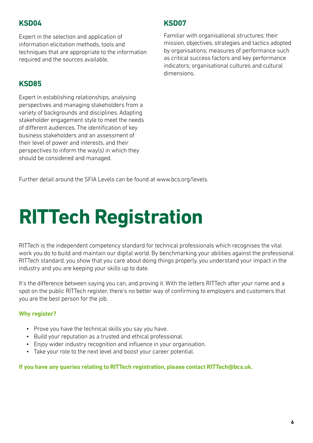## **KSD04**

Expert in the selection and application of information elicitation methods, tools and techniques that are appropriate to the information required and the sources available.

## **KSD85**

Expert in establishing relationships, analysing perspectives and managing stakeholders from a variety of backgrounds and disciplines. Adapting stakeholder engagement style to meet the needs of different audiences. The identification of key business stakeholders and an assessment of their level of power and interests, and their perspectives to inform the way(s) in which they should be considered and managed.

## **KSD07**

Familiar with organisational structures; their mission, objectives, strategies and tactics adopted by organisations; measures of performance such as critical success factors and key performance indicators; organisational cultures and cultural dimensions.

Further detail around the SFIA Levels can be found at www.bcs.org/levels.

# **RITTech Registration**

RITTech is the independent competency standard for technical professionals which recognises the vital work you do to build and maintain our digital world. By benchmarking your abilities against the professional RITTech standard, you show that you care about doing things properly, you understand your impact in the industry and you are keeping your skills up to date.

It's the difference between saying you can, and proving it. With the letters RITTech after your name and a spot on the public RITTech register, there's no better way of confirming to employers and customers that you are the best person for the job.

#### **Why register?**

- Prove you have the technical skills you say you have.
- Build your reputation as a trusted and ethical professional.
- Enjoy wider industry recognition and influence in your organisation.
- Take your role to the next level and boost your career potential.

**If you have any queries relating to RITTech registration, please contact RITTech@bcs.uk.**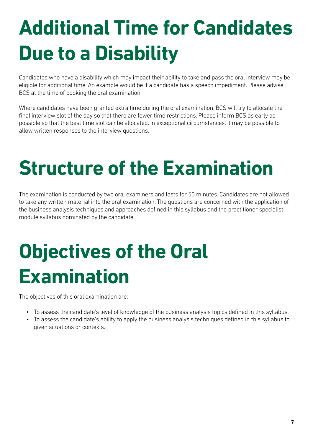# **Additional Time for Candidates Due to a Disability**

Candidates who have a disability which may impact their ability to take and pass the oral interview may be eligible for additional time. An example would be if a candidate has a speech impediment. Please advise BCS at the time of booking the oral examination.

Where candidates have been granted extra time during the oral examination, BCS will try to allocate the final interview slot of the day so that there are fewer time restrictions. Please inform BCS as early as possible so that the best time slot can be allocated. In exceptional circumstances, it may be possible to allow written responses to the interview questions.

## **Structure of the Examination**

The examination is conducted by two oral examiners and lasts for 50 minutes. Candidates are not allowed to take any written material into the oral examination. The questions are concerned with the application of the business analysis techniques and approaches defined in this syllabus and the practitioner specialist module syllabus nominated by the candidate.

# **Objectives of the Oral Examination**

The objectives of this oral examination are:

- To assess the candidate's level of knowledge of the business analysis topics defined in this syllabus.
- To assess the candidate's ability to apply the business analysis techniques defined in this syllabus to given situations or contexts.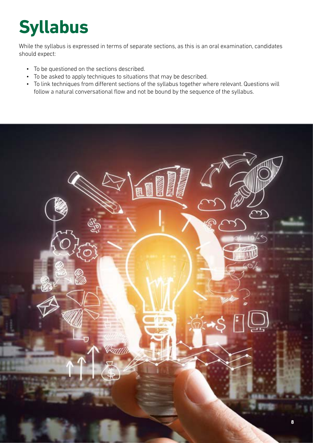## **Syllabus**

While the syllabus is expressed in terms of separate sections, as this is an oral examination, candidates should expect:

- To be questioned on the sections described.
- To be asked to apply techniques to situations that may be described.
- To link techniques from different sections of the syllabus together where relevant. Questions will follow a natural conversational flow and not be bound by the sequence of the syllabus.

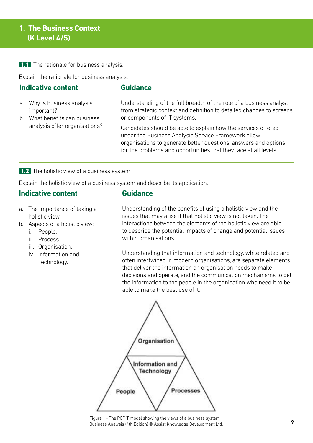## **1. The Business Context (K Level 4/5)**

**1.1** The rationale for business analysis.

Explain the rationale for business analysis.

## **Indicative content**

### **Guidance**

- a. Why is business analysis important?
- b. What benefits can business analysis offer organisations?

Understanding of the full breadth of the role of a business analyst from strategic context and definition to detailed changes to screens or components of IT systems.

Candidates should be able to explain how the services offered under the Business Analysis Service Framework allow organisations to generate better questions, answers and options for the problems and opportunities that they face at all levels.

**1.2** The holistic view of a business system.

Explain the holistic view of a business system and describe its application.

## **Indicative content**

- **Guidance**
- a. The importance of taking a holistic view.
- b. Aspects of a holistic view:
	- i. People.
	- ii. Process.
	- iii. Organisation.
	- iv. Information and Technology.

Understanding of the benefits of using a holistic view and the issues that may arise if that holistic view is not taken. The interactions between the elements of the holistic view are able to describe the potential impacts of change and potential issues within organisations.

Understanding that information and technology, while related and often intertwined in modern organisations, are separate elements that deliver the information an organisation needs to make decisions and operate, and the communication mechanisms to get the information to the people in the organisation who need it to be able to make the best use of it.



Figure 1 - The POPIT model showing the views of a business system Business Analysis (4th Edition) © Assist Knowledge Development Ltd.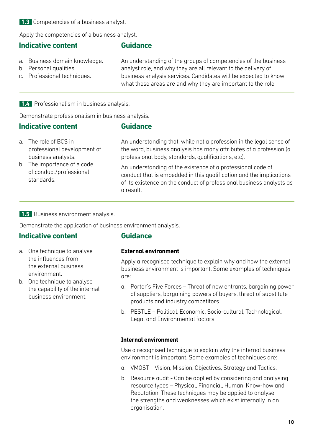## **1.3** Competencies of a business analyst.

Apply the competencies of a business analyst.

## **Indicative content**

#### **Guidance**

- a. Business domain knowledge.
- b. Personal qualities.
- c. Professional techniques.

An understanding of the groups of competencies of the business analyst role, and why they are all relevant to the delivery of business analysis services. Candidates will be expected to know what these areas are and why they are important to the role.

#### **1.4** Professionalism in business analysis.

Demonstrate professionalism in business analysis.

#### **Indicative content**

#### **Guidance**

- a. The role of BCS in professional development of business analysts.
- b. The importance of a code of conduct/professional standards.

An understanding that, while not a profession in the legal sense of the word, business analysis has many attributes of a profession (a professional body, standards, qualifications, etc).

An understanding of the existence of a professional code of conduct that is embedded in this qualification and the implications of its existence on the conduct of professional business analysts as a result.

#### **1.5** Business environment analysis.

Demonstrate the application of business environment analysis.

## **Indicative content**

- a. One technique to analyse the influences from the external business environment.
- b. One technique to analyse the capability of the internal business environment.

## **Guidance**

#### **External environment**

Apply a recognised technique to explain why and how the external business environment is important. Some examples of techniques are:

- a. Porter's Five Forces Threat of new entrants, bargaining power of suppliers, bargaining powers of buyers, threat of substitute products and industry competitors.
- b. PESTLE Political, Economic, Socio-cultural, Technological, Legal and Environmental factors.

#### **Internal environment**

Use a recognised technique to explain why the internal business environment is important. Some examples of techniques are:

- a. VMOST Vision, Mission, Objectives, Strategy and Tactics.
- b. Resource audit Can be applied by considering and analysing resource types – Physical, Financial, Human, Know-how and Reputation. These techniques may be applied to analyse the strengths and weaknesses which exist internally in an organisation.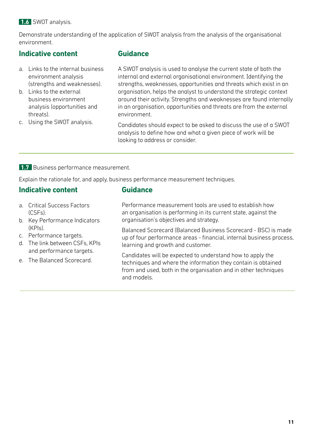### **1.6** SWOT analysis.

Demonstrate understanding of the application of SWOT analysis from the analysis of the organisational environment.

## **Indicative content**

- a. Links to the internal business environment analysis (strengths and weaknesses).
- b. Links to the external business environment analysis (opportunities and threats).
- c. Using the SWOT analysis.

## **Guidance**

A SWOT analysis is used to analyse the current state of both the internal and external organisational environment. Identifying the strengths, weaknesses, opportunities and threats which exist in an organisation, helps the analyst to understand the strategic context around their activity. Strengths and weaknesses are found internally in an organisation, opportunities and threats are from the external environment.

Candidates should expect to be asked to discuss the use of a SWOT analysis to define how and what a given piece of work will be looking to address or consider.

#### **1.7** Business performance measurement.

Explain the rationale for, and apply, business performance measurement techniques.

**Guidance**

## **Indicative content**

- 
- a. Critical Success Factors (CSFs).
- b. Key Performance Indicators (KPIs).
- c. Performance targets.
- d. The link between CSFs, KPIs and performance targets.
- e. The Balanced Scorecard.

Performance measurement tools are used to establish how an organisation is performing in its current state, against the organisation's objectives and strategy.

Balanced Scorecard (Balanced Business Scorecard - BSC) is made up of four performance areas - financial, internal business process, learning and growth and customer.

Candidates will be expected to understand how to apply the techniques and where the information they contain is obtained from and used, both in the organisation and in other techniques and models.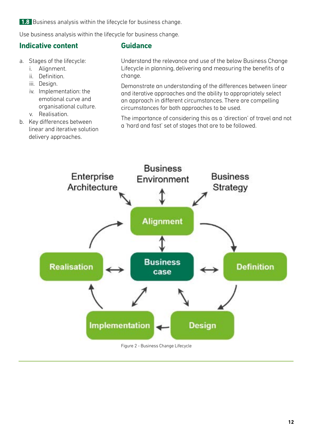**1.8** Business analysis within the lifecycle for business change.

Use business analysis within the lifecycle for business change.

## **Indicative content**

#### **Guidance**

- a. Stages of the lifecycle:
	- i. Alignment.
	- ii. Definition.
	- iii. Design.
	- iv. Implementation: the emotional curve and organisational culture.
	- v. Realisation.
- b. Key differences between linear and iterative solution delivery approaches.

Understand the relevance and use of the below Business Change Lifecycle in planning, delivering and measuring the benefits of a change.

Demonstrate an understanding of the differences between linear and iterative approaches and the ability to appropriately select an approach in different circumstances. There are compelling circumstances for both approaches to be used.

The importance of considering this as a 'direction' of travel and not a 'hard and fast' set of stages that are to be followed.



Figure 2 - Business Change Lifecycle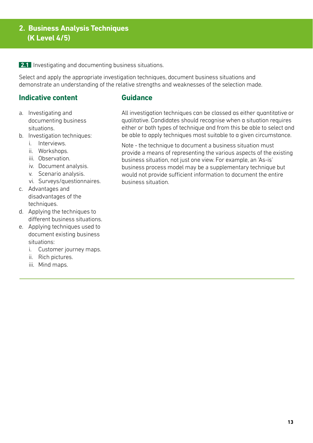## **2. Business Analysis Techniques (K Level 4/5)**

**2.1** Investigating and documenting business situations.

Select and apply the appropriate investigation techniques, document business situations and demonstrate an understanding of the relative strengths and weaknesses of the selection made.

## **Indicative content**

- a. Investigating and documenting business situations.
- b. Investigation techniques:
	- i. Interviews.
	- ii. Workshops.
	- iii. Observation.
	- iv. Document analysis.
	- v. Scenario analysis.
	- vi. Surveys/questionnaires.
- c. Advantages and disadvantages of the techniques.
- d. Applying the techniques to different business situations.
- e. Applying techniques used to document existing business situations:
	- i. Customer journey maps.
	- ii. Rich pictures.
	- iii. Mind maps.

### **Guidance**

All investigation techniques can be classed as either quantitative or qualitative. Candidates should recognise when a situation requires either or both types of technique and from this be able to select and be able to apply techniques most suitable to a given circumstance.

Note - the technique to document a business situation must provide a means of representing the various aspects of the existing business situation, not just one view. For example, an 'As-is' business process model may be a supplementary technique but would not provide sufficient information to document the entire business situation.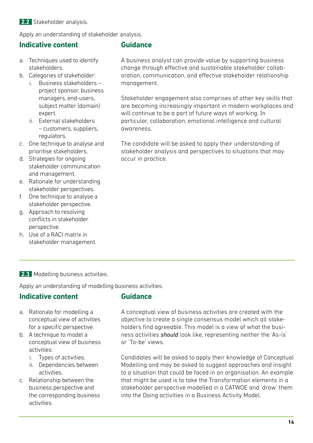**2.2** Stakeholder analysis.

Apply an understanding of stakeholder analysis.

## **Indicative content**

- a. Techniques used to identify stakeholders.
- b. Categories of stakeholder:
	- i. Business stakeholders project sponsor, business managers, end-users, subject matter (domain) expert.
	- ii. External stakeholders – customers, suppliers, regulators.
- c. One technique to analyse and prioritise stakeholders.
- d. Strategies for ongoing stakeholder communication and management.
- e. Rationale for understanding stakeholder perspectives.
- f. One technique to analyse a stakeholder perspective.
- g. Approach to resolving conflicts in stakeholder perspective.
- h. Use of a RACI matrix in stakeholder management.

## **Guidance**

A business analyst can provide value by supporting business change through effective and sustainable stakeholder collaboration, communication, and effective stakeholder relationship management.

Stakeholder engagement also comprises of other key skills that are becoming increasingly important in modern workplaces and will continue to be a part of future ways of working. In particular, collaboration, emotional intelligence and cultural awareness.

The candidate will be asked to apply their understanding of stakeholder analysis and perspectives to situations that may occur in practice.

#### **2.3** Modelling business activities.

Apply an understanding of modelling business activities.

## **Indicative content**

## **Guidance**

- a. Rationale for modelling a conceptual view of activities for a specific perspective.
- b. A technique to model a conceptual view of business activities:
	- i. Types of activities.
	- ii. Dependencies between activities.
- c. Relationship between the business perspective and the corresponding business activities.

A conceptual view of business activities are created with the objective to create a single consensus model which all stakeholders find agreeable. This model is a view of what the business activities *should* look like, representing neither the 'As-is' or 'To-be' views.

Candidates will be asked to apply their knowledge of Conceptual Modelling and may be asked to suggest approaches and insight to a situation that could be faced in an organisation. An example that might be used is to take the Transformation elements in a stakeholder perspective modelled in a CATWOE and 'draw' them into the Doing activities in a Business Activity Model.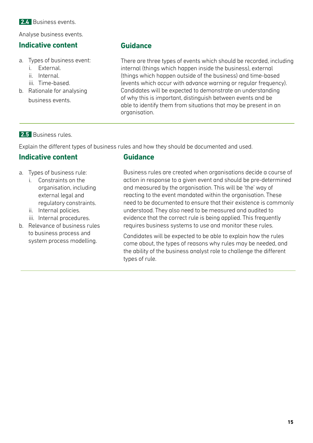Analyse business events.

## **Indicative content**

- a. Types of business event:
	- i. External.
	- ii. Internal.
	- iii. Time-based.
- b. Rationale for analysing business events.

## **Guidance**

There are three types of events which should be recorded, including internal (things which happen inside the business), external (things which happen outside of the business) and time-based (events which occur with advance warning or regular frequency). Candidates will be expected to demonstrate an understanding of why this is important, distinguish between events and be able to identify them from situations that may be present in an organisation.

## **2.5** Business rules.

Explain the different types of business rules and how they should be documented and used.

## **Indicative content**

- a. Types of business rule:
	- i. Constraints on the organisation, including external legal and regulatory constraints.
	- ii. Internal policies.
	- iii. Internal procedures.
- b. Relevance of business rules to business process and system process modelling.

## **Guidance**

Business rules are created when organisations decide a course of action in response to a given event and should be pre-determined and measured by the organisation. This will be 'the' way of reacting to the event mandated within the organisation. These need to be documented to ensure that their existence is commonly understood. They also need to be measured and audited to evidence that the correct rule is being applied. This frequently requires business systems to use and monitor these rules.

Candidates will be expected to be able to explain how the rules come about, the types of reasons why rules may be needed, and the ability of the business analyst role to challenge the different types of rule.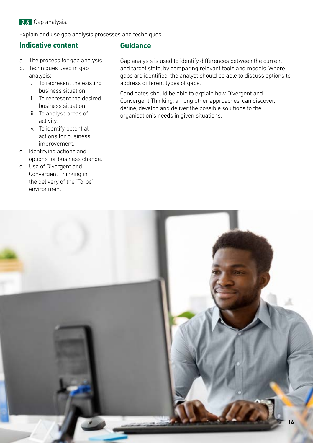**2.6** Gap analysis.

Explain and use gap analysis processes and techniques.

## **Indicative content**

- a. The process for gap analysis.
- b. Techniques used in gap analysis:
	- i. To represent the existing business situation.
	- ii. To represent the desired business situation.
	- iii. To analyse areas of activity.
	- iv. To identify potential actions for business improvement.
- c. Identifying actions and options for business change.
- d. Use of Divergent and Convergent Thinking in the delivery of the 'To-be' environment.

## **Guidance**

Gap analysis is used to identify differences between the current and target state, by comparing relevant tools and models. Where gaps are identified, the analyst should be able to discuss options to address different types of gaps.

Candidates should be able to explain how Divergent and Convergent Thinking, among other approaches, can discover, define, develop and deliver the possible solutions to the organisation's needs in given situations.

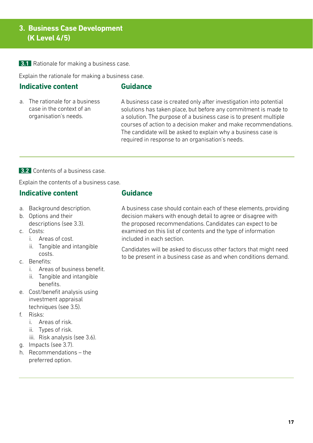## **3. Business Case Development (K Level 4/5)**

**3.1** Rationale for making a business case.

Explain the rationale for making a business case.

## **Indicative content**

## **Guidance**

a. The rationale for a business case in the context of an organisation's needs.

A business case is created only after investigation into potential solutions has taken place, but before any commitment is made to a solution. The purpose of a business case is to present multiple courses of action to a decision maker and make recommendations. The candidate will be asked to explain why a business case is required in response to an organisation's needs.

**3.2** Contents of a business case.

Explain the contents of a business case.

## **Indicative content**

- a. Background description.
- b. Options and their descriptions (see 3.3).
- c. Costs:
	- i. Areas of cost.
	- ii. Tangible and intangible costs.
- c. Benefits:
	- i. Areas of business benefit.
	- ii. Tangible and intangible benefits.
- e. Cost/benefit analysis using investment appraisal techniques (see 3.5).
- f. Risks:
	- i. Areas of risk.
	- ii. Types of risk.
	- iii. Risk analysis (see 3.6).
- g. Impacts (see 3.7).
- h. Recommendations the preferred option.

#### **Guidance**

A business case should contain each of these elements, providing decision makers with enough detail to agree or disagree with the proposed recommendations. Candidates can expect to be examined on this list of contents and the type of information included in each section.

Candidates will be asked to discuss other factors that might need to be present in a business case as and when conditions demand.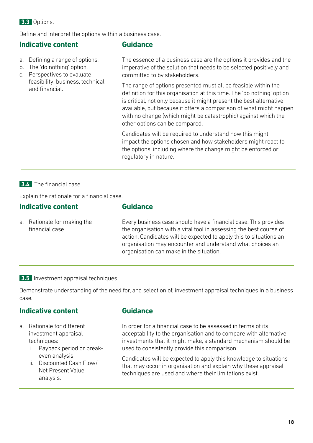## **3.3** Options.

Define and interpret the options within a business case.

## **Indicative content**

- a. Defining a range of options.
- b. The 'do nothing' option.
- c. Perspectives to evaluate feasibility: business, technical and financial.

### **Guidance**

The essence of a business case are the options it provides and the imperative of the solution that needs to be selected positively and committed to by stakeholders.

The range of options presented must all be feasible within the definition for this organisation at this time. The 'do nothing' option is critical, not only because it might present the best alternative available, but because it offers a comparison of what might happen with no change (which might be catastrophic) against which the other options can be compared.

Candidates will be required to understand how this might impact the options chosen and how stakeholders might react to the options, including where the change might be enforced or regulatory in nature.

#### **3.4** The financial case.

Explain the rationale for a financial case.

#### **Indicative content**

a. Rationale for making the financial case.

Every business case should have a financial case. This provides the organisation with a vital tool in assessing the best course of action. Candidates will be expected to apply this to situations an organisation may encounter and understand what choices an organisation can make in the situation.

#### **3.5** Investment appraisal techniques.

Demonstrate understanding of the need for, and selection of, investment appraisal techniques in a business case.

## **Indicative content**

- a. Rationale for different investment appraisal techniques:
	- i. Payback period or breakeven analysis.
	- ii. Discounted Cash Flow/ Net Present Value analysis.

## **Guidance**

**Guidance**

In order for a financial case to be assessed in terms of its acceptability to the organisation and to compare with alternative investments that it might make, a standard mechanism should be used to consistently provide this comparison.

Candidates will be expected to apply this knowledge to situations that may occur in organisation and explain why these appraisal techniques are used and where their limitations exist.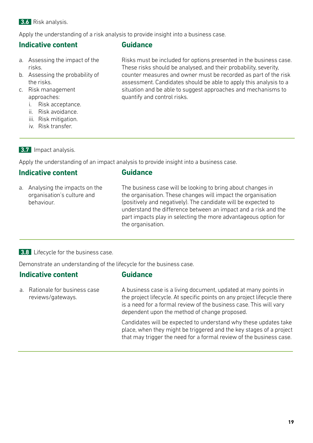#### **3.6** Risk analysis.

Apply the understanding of a risk analysis to provide insight into a business case.

### **Indicative content**

#### **Guidance**

- a. Assessing the impact of the risks.
- b. Assessing the probability of the risks.
- c. Risk management approaches:
	- i. Risk acceptance.
	- ii. Risk avoidance.
	- iii. Risk mitigation.
	- iv. Risk transfer.

Risks must be included for options presented in the business case. These risks should be analysed, and their probability, severity, counter measures and owner must be recorded as part of the risk assessment. Candidates should be able to apply this analysis to a situation and be able to suggest approaches and mechanisms to quantify and control risks.

#### **3.7** Impact analysis.

Apply the understanding of an impact analysis to provide insight into a business case.

**Guidance**

## **Indicative content**

a. Analysing the impacts on the organisation's culture and behaviour.

The business case will be looking to bring about changes in

the organisation. These changes will impact the organisation (positively and negatively). The candidate will be expected to understand the difference between an impact and a risk and the part impacts play in selecting the more advantageous option for the organisation.

#### **3.8** Lifecycle for the business case.

Demonstrate an understanding of the lifecycle for the business case.

## **Indicative content**

## **Guidance**

a. Rationale for business case reviews/gateways.

A business case is a living document, updated at many points in the project lifecycle. At specific points on any project lifecycle there is a need for a formal review of the business case. This will vary dependent upon the method of change proposed.

Candidates will be expected to understand why these updates take place, when they might be triggered and the key stages of a project that may trigger the need for a formal review of the business case.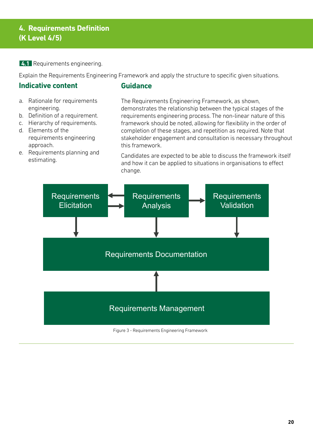## **4. Requirements Definition (K Level 4/5)**

**4.1** Requirements engineering.

Explain the Requirements Engineering Framework and apply the structure to specific given situations.

## **Indicative content**

### **Guidance**

- a. Rationale for requirements engineering.
- b. Definition of a requirement.
- c. Hierarchy of requirements.
- d. Elements of the requirements engineering approach.
- e. Requirements planning and estimating.

The Requirements Engineering Framework, as shown, demonstrates the relationship between the typical stages of the requirements engineering process. The non-linear nature of this framework should be noted, allowing for flexibility in the order of completion of these stages, and repetition as required. Note that stakeholder engagement and consultation is necessary throughout this framework.

Candidates are expected to be able to discuss the framework itself and how it can be applied to situations in organisations to effect change.

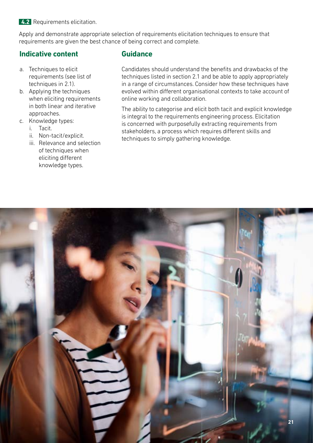**4.2** Requirements elicitation.

Apply and demonstrate appropriate selection of requirements elicitation techniques to ensure that requirements are given the best chance of being correct and complete.

## **Indicative content**

- a. Techniques to elicit requirements (see list of techniques in 2.1).
- b. Applying the techniques when eliciting requirements in both linear and iterative approaches.
- c. Knowledge types:
	- i. Tacit.
	- ii. Non-tacit/explicit.
	- iii. Relevance and selection of techniques when eliciting different knowledge types.

## **Guidance**

Candidates should understand the benefits and drawbacks of the techniques listed in section 2.1 and be able to apply appropriately in a range of circumstances. Consider how these techniques have evolved within different organisational contexts to take account of online working and collaboration.

The ability to categorise and elicit both tacit and explicit knowledge is integral to the requirements engineering process. Elicitation is concerned with purposefully extracting requirements from stakeholders, a process which requires different skills and techniques to simply gathering knowledge.

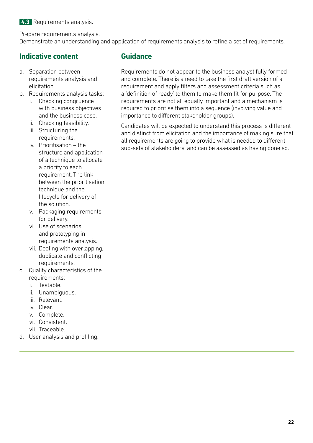Prepare requirements analysis.

Demonstrate an understanding and application of requirements analysis to refine a set of requirements.

## **Indicative content**

- a. Separation between requirements analysis and elicitation.
- b. Requirements analysis tasks:
	- i. Checking congruence with business objectives and the business case.
	- ii. Checking feasibility.
	- iii. Structuring the requirements.
	- iv. Prioritisation the structure and application of a technique to allocate a priority to each requirement. The link between the prioritisation technique and the lifecycle for delivery of the solution.
	- v. Packaging requirements for delivery.
	- vi. Use of scenarios and prototyping in requirements analysis.
	- vii. Dealing with overlapping, duplicate and conflicting requirements.
- c. Quality characteristics of the requirements:
	- i. Testable.
	- ii. Unambiguous.
	- iii. Relevant.
	- iv. Clear.
	- v. Complete.
	- vi. Consistent.
	- vii. Traceable.
- d. User analysis and profiling.

## **Guidance**

Requirements do not appear to the business analyst fully formed and complete. There is a need to take the first draft version of a requirement and apply filters and assessment criteria such as a 'definition of ready' to them to make them fit for purpose. The requirements are not all equally important and a mechanism is required to prioritise them into a sequence (involving value and importance to different stakeholder groups).

Candidates will be expected to understand this process is different and distinct from elicitation and the importance of making sure that all requirements are going to provide what is needed to different sub-sets of stakeholders, and can be assessed as having done so.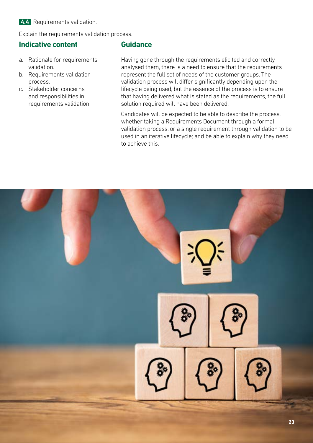#### **4.4** Requirements validation.

Explain the requirements validation process.

## **Indicative content**

- a. Rationale for requirements validation.
- b. Requirements validation process.
- c. Stakeholder concerns and responsibilities in requirements validation.

### **Guidance**

Having gone through the requirements elicited and correctly analysed them, there is a need to ensure that the requirements represent the full set of needs of the customer groups. The validation process will differ significantly depending upon the lifecycle being used, but the essence of the process is to ensure that having delivered what is stated as the requirements, the full solution required will have been delivered.

Candidates will be expected to be able to describe the process, whether taking a Requirements Document through a formal validation process, or a single requirement through validation to be used in an iterative lifecycle; and be able to explain why they need to achieve this.

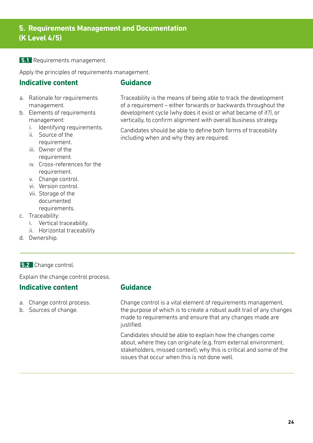**5. Requirements Management and Documentation (K Level 4/5)**

#### **5.1** Requirements management.

Apply the principles of requirements management.

### **Indicative content**

#### **Guidance**

- a. Rationale for requirements management.
- b. Elements of requirements management:
	- i. Identifying requirements.
	- ii. Source of the requirement.
	- iii. Owner of the requirement.
	- iv. Cross-references for the requirement.
	- v. Change control.
	- vi. Version control.
	- vii. Storage of the documented requirements.
- c. Traceability:
	- i. Vertical traceability.
	- ii. Horizontal traceability
- d. Ownership.

#### **5.2** Change control.

Explain the change control process.

## **Indicative content**

- a. Change control process.
- b. Sources of change.

## **Guidance**

Change control is a vital element of requirements management, the purpose of which is to create a robust audit trail of any changes made to requirements and ensure that any changes made are justified.

Candidates should be able to explain how the changes come about, where they can originate (e.g. from external environment, stakeholders, missed context), why this is critical and some of the issues that occur when this is not done well.

Traceability is the means of being able to track the development of a requirement – either forwards or backwards throughout the development cycle (why does it exist or what became of it?), or vertically, to confirm alignment with overall business strategy.

Candidates should be able to define both forms of traceability including when and why they are required.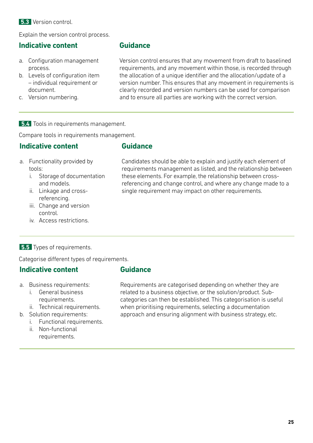#### **5.3** Version control.

Explain the version control process.

## **Indicative content**

- a. Configuration management process.
- b. Levels of configuration item – individual requirement or document.
- c. Version numbering.

### **Guidance**

Version control ensures that any movement from draft to baselined requirements, and any movement within those, is recorded through the allocation of a unique identifier and the allocation/update of a version number. This ensures that any movement in requirements is clearly recorded and version numbers can be used for comparison and to ensure all parties are working with the correct version.

Candidates should be able to explain and justify each element of requirements management as listed, and the relationship between these elements. For example, the relationship between crossreferencing and change control, and where any change made to a

single requirement may impact on other requirements.

#### **5.4** Tools in requirements management.

Compare tools in requirements management.

#### **Indicative content**

## **Guidance**

- a. Functionality provided by tools:
	- i. Storage of documentation and models.
	- ii. Linkage and crossreferencing.
	- iii. Change and version control.
	- iv. Access restrictions.

#### **5.5** Types of requirements.

Categorise different types of requirements.

#### **Indicative content**

- **Guidance**
- a. Business requirements:
	- i. General business requirements.
	- ii. Technical requirements.
- b. Solution requirements:
	- i. Functional requirements.
	- ii. Non-functional requirements.

Requirements are categorised depending on whether they are related to a business objective, or the solution/product. Subcategories can then be established. This categorisation is useful when prioritising requirements, selecting a documentation approach and ensuring alignment with business strategy, etc.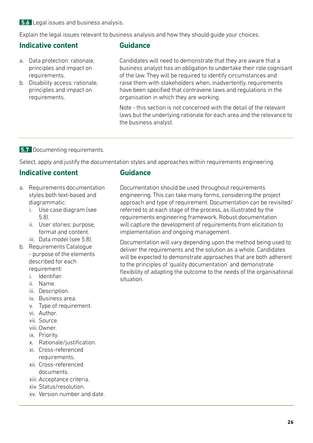#### **5.6** Legal issues and business analysis.

Explain the legal issues relevant to business analysis and how they should guide your choices.

## **Indicative content**

- a. Data protection: rationale, principles and impact on requirements.
- b. Disability access: rationale, principles and impact on requirements.

#### **Guidance**

Candidates will need to demonstrate that they are aware that a business analyst has an obligation to undertake their role cognisant of the law. They will be required to identify circumstances and raise them with stakeholders when, inadvertently, requirements have been specified that contravene laws and regulations in the organisation in which they are working.

Note - this section is not concerned with the detail of the relevant laws but the underlying rationale for each area and the relevance to the business analyst.

#### **5.7** Documenting requirements.

Select, apply and justify the documentation styles and approaches within requirements engineering.

## **Indicative content**

- a. Requirements documentation styles both text-based and diagrammatic:
	- i. Use case diagram (see 5.8).
	- ii. User stories: purpose, format and content.
- iii. Data model (see 5.8).
- b. Requirements Catalogue - purpose of the elements described for each requirement:
	- i. Identifier.
	- ii. Name.
	- iii. Description.
	- iv. Business area.
	- v. Type of requirement.
	- vi. Author.
	- vii. Source.
	- viii. Owner.
	- ix. Priority.
	- x. Rationale/justification.
	- xi. Cross-referenced requirements.
	- xii. Cross-referenced documents.
	- xiii. Acceptance criteria.
	- xiv. Status/resolution.
	- xv. Version number and date.

## **Guidance**

Documentation should be used throughout requirements engineering. This can take many forms, considering the project approach and type of requirement. Documentation can be revisited/ referred to at each stage of the process, as illustrated by the requirements engineering framework. Robust documentation will capture the development of requirements from elicitation to implementation and ongoing management.

Documentation will vary depending upon the method being used to deliver the requirements and the solution as a whole. Candidates will be expected to demonstrate approaches that are both adherent to the principles of 'quality documentation' and demonstrate flexibility of adapting the outcome to the needs of the organisational situation.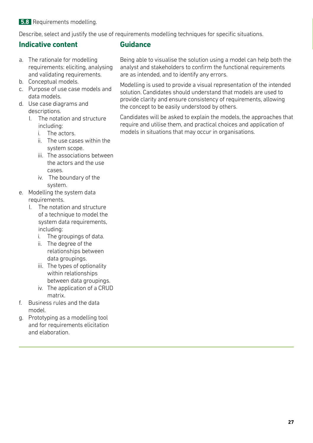#### **5.8** Requirements modelling.

Describe, select and justify the use of requirements modelling techniques for specific situations.

## **Indicative content**

- a. The rationale for modelling requirements: eliciting, analysing and validating requirements.
- b. Conceptual models.
- c. Purpose of use case models and data models.
- d. Use case diagrams and descriptions.
	- I. The notation and structure including:
		- i. The actors.
		- ii. The use cases within the system scope.
		- iii. The associations between the actors and the use cases.
		- iv. The boundary of the system.
- e. Modelling the system data requirements.
	- I. The notation and structure of a technique to model the system data requirements, including:
		- i. The groupings of data.
		- ii. The degree of the relationships between data groupings.
		- iii. The types of optionality within relationships between data groupings.
		- iv. The application of a CRUD matrix.
- f. Business rules and the data model.
- g. Prototyping as a modelling tool and for requirements elicitation and elaboration.

## **Guidance**

Being able to visualise the solution using a model can help both the analyst and stakeholders to confirm the functional requirements are as intended, and to identify any errors.

Modelling is used to provide a visual representation of the intended solution. Candidates should understand that models are used to provide clarity and ensure consistency of requirements, allowing the concept to be easily understood by others.

Candidates will be asked to explain the models, the approaches that require and utilise them, and practical choices and application of models in situations that may occur in organisations.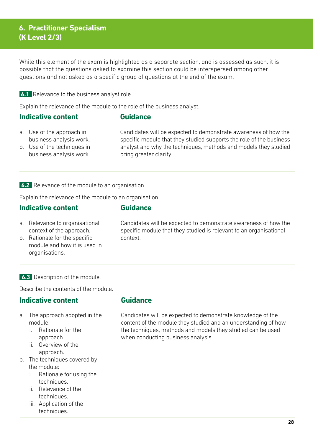## **6. Practitioner Specialism (K Level 2/3)**

While this element of the exam is highlighted as a separate section, and is assessed as such, it is possible that the questions asked to examine this section could be interspersed among other questions and not asked as a specific group of questions at the end of the exam.

#### **6.1** Relevance to the business analyst role.

Explain the relevance of the module to the role of the business analyst.

#### **Indicative content**

#### **Guidance**

a. Use of the approach in business analysis work. Candidates will be expected to demonstrate awareness of how the specific module that they studied supports the role of the business analyst and why the techniques, methods and models they studied bring greater clarity.

b. Use of the techniques in business analysis work.

#### **6.2** Relevance of the module to an organisation.

Explain the relevance of the module to an organisation.

## **Indicative content**

#### **Guidance**

- a. Relevance to organisational context of the approach.
- b. Rationale for the specific module and how it is used in organisations.

Candidates will be expected to demonstrate awareness of how the specific module that they studied is relevant to an organisational context.

**6.3** Description of the module.

Describe the contents of the module.

#### **Indicative content**

- a. The approach adopted in the module:
	- i. Rationale for the approach.
	- ii. Overview of the approach.
- b. The techniques covered by the module:
	- i. Rationale for using the techniques.
	- ii. Relevance of the techniques.
	- iii. Application of the techniques.

## **Guidance**

Candidates will be expected to demonstrate knowledge of the content of the module they studied and an understanding of how the techniques, methods and models they studied can be used when conducting business analysis.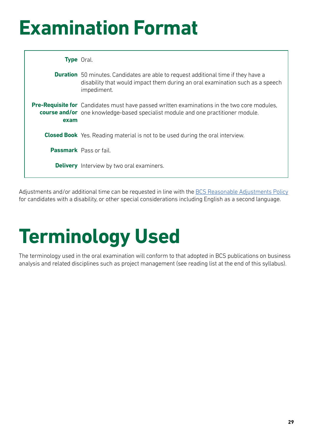## **Examination Format**

|      | <b>Type</b> Oral.                                                                                                                                                                         |
|------|-------------------------------------------------------------------------------------------------------------------------------------------------------------------------------------------|
|      | <b>Duration</b> 50 minutes. Candidates are able to request additional time if they have a<br>disability that would impact them during an oral examination such as a speech<br>impediment. |
| exam | <b>Pre-Requisite for</b> Candidates must have passed written examinations in the two core modules,<br>course and/or one knowledge-based specialist module and one practitioner module.    |
|      | <b>Closed Book</b> Yes. Reading material is not to be used during the oral interview.                                                                                                     |
|      | <b>Passmark</b> Pass or fail.                                                                                                                                                             |
|      | <b>Delivery</b> Interview by two oral examiners.                                                                                                                                          |

Adjustments and/or additional time can be requested in line with the [BCS Reasonable Adjustments Policy](https://www.bcs.org/media/4718/reasonable-adjustments-policy.pdf) for candidates with a disability, or other special considerations including English as a second language.

## **Terminology Used**

The terminology used in the oral examination will conform to that adopted in BCS publications on business analysis and related disciplines such as project management (see reading list at the end of this syllabus).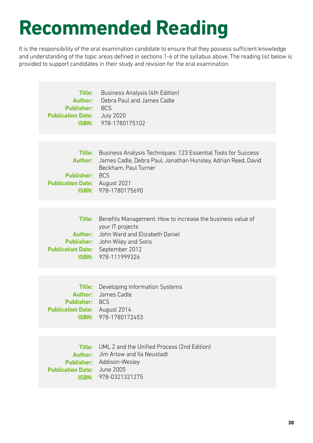## **Recommended Reading**

It is the responsibility of the oral examination candidate to ensure that they possess sufficient knowledge and understanding of the topic areas defined in sections 1-6 of the syllabus above. The reading list below is provided to support candidates in their study and revision for the oral examination.

| Title:<br><b>Author:</b><br><b>Publisher: BCS</b><br><b>Publication Date:</b> July 2020 | Business Analysis (4th Edition)<br>Debra Paul and James Cadle<br><b>ISBN:</b> 978-1780175102                                                                                                        |
|-----------------------------------------------------------------------------------------|-----------------------------------------------------------------------------------------------------------------------------------------------------------------------------------------------------|
|                                                                                         |                                                                                                                                                                                                     |
| <b>Author:</b><br><b>Publisher: BCS</b><br><b>Publication Date:</b> August 2021         | <b>Title:</b> Business Analysis Techniques: 123 Essential Tools for Success<br>James Cadle, Debra Paul, Jonathan Hunsley, Adrian Reed, David<br>Beckham, Paul Turner<br><b>ISBN: 978-1780175690</b> |
|                                                                                         |                                                                                                                                                                                                     |
| <b>Title:</b><br>Author:<br><b>Publication Date:</b> September 2012                     | Benefits Management: How to increase the business value of<br>your IT projects<br>John Ward and Elizabeth Daniel<br><b>Publisher:</b> John Wiley and Sons<br><b>ISBN: 978-111999326</b>             |
|                                                                                         |                                                                                                                                                                                                     |
| Author:<br><b>Publisher: BCS</b><br><b>Publication Date:</b> August 2014                | <b>Title:</b> Developing Information Systems<br>James Cadle<br><b>ISBN: 978-1780172453</b>                                                                                                          |
|                                                                                         |                                                                                                                                                                                                     |
| Author:<br><b>Publication Date:</b> June 2005                                           | <b>Title:</b> UML 2 and the Unified Process (2nd Edition)<br>Jim Arlow and Ila Neustadt<br><b>Publisher:</b> Addison-Wesley<br>ISBN: 978-0321321275                                                 |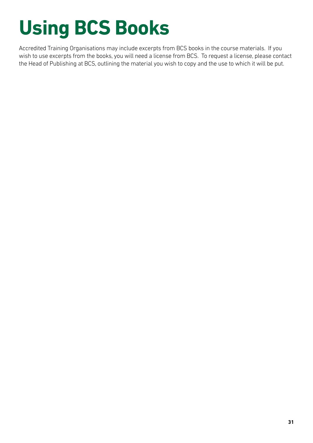# **Using BCS Books**

Accredited Training Organisations may include excerpts from BCS books in the course materials. If you wish to use excerpts from the books, you will need a license from BCS. To request a license, please contact the Head of Publishing at BCS, outlining the material you wish to copy and the use to which it will be put.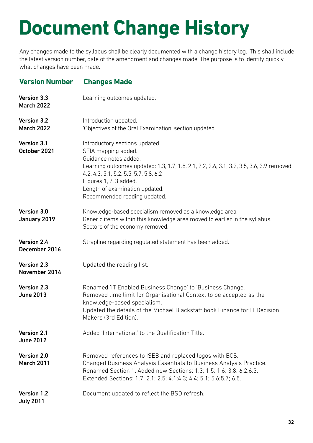## **Document Change History**

Any changes made to the syllabus shall be clearly documented with a change history log. This shall include the latest version number, date of the amendment and changes made. The purpose is to identify quickly what changes have been made.

#### **Version Number Changes Made**

| Version 3.3<br><b>March 2022</b>    | Learning outcomes updated.                                                                                                                                                                                                                                                                                        |
|-------------------------------------|-------------------------------------------------------------------------------------------------------------------------------------------------------------------------------------------------------------------------------------------------------------------------------------------------------------------|
| Version 3.2<br><b>March 2022</b>    | Introduction updated.<br>'Objectives of the Oral Examination' section updated.                                                                                                                                                                                                                                    |
| Version 3.1<br>October 2021         | Introductory sections updated.<br>SFIA mapping added.<br>Guidance notes added.<br>Learning outcomes updated: 1.3, 1.7, 1.8, 2.1, 2.2, 2.6, 3.1, 3.2, 3.5, 3.6, 3.9 removed,<br>4.2, 4.3, 5.1, 5.2, 5.5, 5.7, 5.8, 6.2<br>Figures 1, 2, 3 added.<br>Length of examination updated.<br>Recommended reading updated. |
| Version 3.0<br>January 2019         | Knowledge-based specialism removed as a knowledge area.<br>Generic items within this knowledge area moved to earlier in the syllabus.<br>Sectors of the economy removed.                                                                                                                                          |
| Version 2.4<br>December 2016        | Strapline regarding regulated statement has been added.                                                                                                                                                                                                                                                           |
| <b>Version 2.3</b><br>November 2014 | Updated the reading list.                                                                                                                                                                                                                                                                                         |
| Version 2.3<br><b>June 2013</b>     | Renamed 'IT Enabled Business Change' to 'Business Change'.<br>Removed time limit for Organisational Context to be accepted as the<br>knowledge-based specialism.<br>Updated the details of the Michael Blackstaff book Finance for IT Decision<br>Makers (3rd Edition).                                           |
| Version 2.1<br><b>June 2012</b>     | Added 'International' to the Qualification Title.                                                                                                                                                                                                                                                                 |
| Version 2.0<br><b>March 2011</b>    | Removed references to ISEB and replaced logos with BCS.<br>Changed Business Analysis Essentials to Business Analysis Practice.<br>Renamed Section 1. Added new Sections: 1.3; 1.5; 1.6; 3.8; 6.2;6.3.<br>Extended Sections: 1.7; 2.1; 2.5; 4.1; 4.3; 4.4; 5.1; 5.6; 5.7; 6.5.                                     |
| Version 1.2<br><b>July 2011</b>     | Document updated to reflect the BSD refresh.                                                                                                                                                                                                                                                                      |